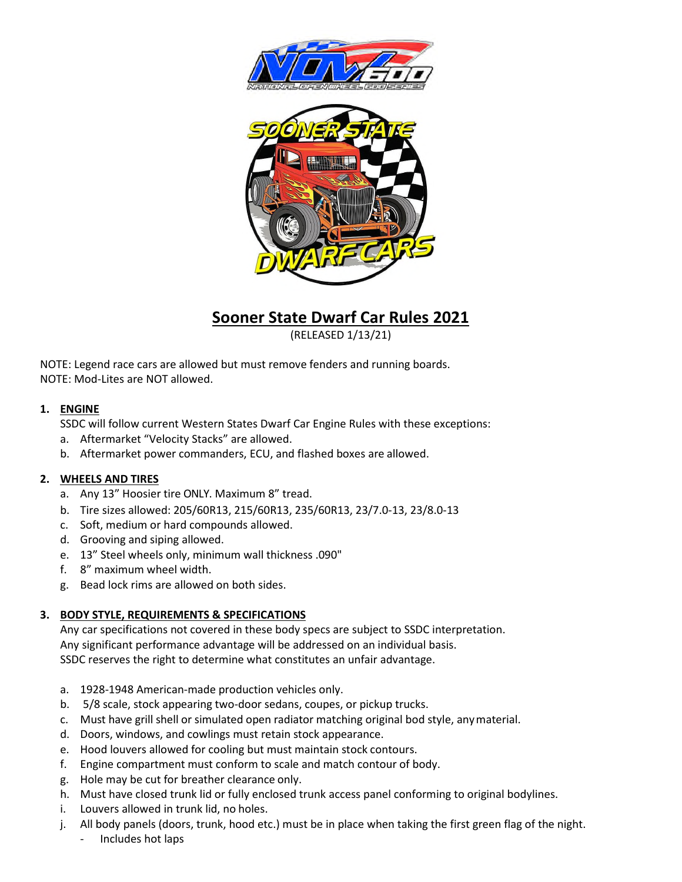



# **Sooner State Dwarf Car Rules 2021**

(RELEASED 1/13/21)

NOTE: Legend race cars are allowed but must remove fenders and running boards. NOTE: Mod-Lites are NOT allowed.

# **1. ENGINE**

SSDC will follow current Western States Dwarf Car Engine Rules with these exceptions:

- a. Aftermarket "Velocity Stacks" are allowed.
- b. Aftermarket power commanders, ECU, and flashed boxes are allowed.

# **2. WHEELS AND TIRES**

- a. Any 13" Hoosier tire ONLY. Maximum 8" tread.
- b. Tire sizes allowed: 205/60R13, 215/60R13, 235/60R13, 23/7.0-13, 23/8.0-13
- c. Soft, medium or hard compounds allowed.
- d. Grooving and siping allowed.
- e. 13" Steel wheels only, minimum wall thickness .090"
- f. 8" maximum wheel width.
- g. Bead lock rims are allowed on both sides.

# **3. BODY STYLE, REQUIREMENTS & SPECIFICATIONS**

Any car specifications not covered in these body specs are subject to SSDC interpretation. Any significant performance advantage will be addressed on an individual basis. SSDC reserves the right to determine what constitutes an unfair advantage.

- a. 1928-1948 American-made production vehicles only.
- b. 5/8 scale, stock appearing two-door sedans, coupes, or pickup trucks.
- c. Must have grill shell or simulated open radiator matching original bod style, any material.
- d. Doors, windows, and cowlings must retain stock appearance.
- e. Hood louvers allowed for cooling but must maintain stock contours.
- f. Engine compartment must conform to scale and match contour of body.
- g. Hole may be cut for breather clearance only.
- h. Must have closed trunk lid or fully enclosed trunk access panel conforming to original bodylines.
- i. Louvers allowed in trunk lid, no holes.
- j. All body panels (doors, trunk, hood etc.) must be in place when taking the first green flag of the night.
	- Includes hot laps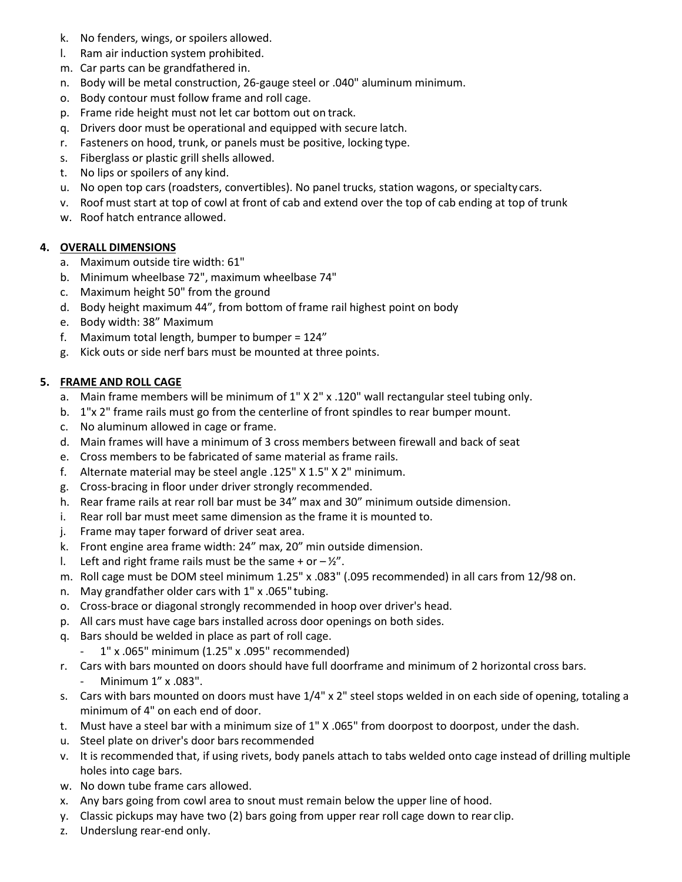- k. No fenders, wings, or spoilers allowed.
- l. Ram air induction system prohibited.
- m. Car parts can be grandfathered in.
- n. Body will be metal construction, 26-gauge steel or .040" aluminum minimum.
- o. Body contour must follow frame and roll cage.
- p. Frame ride height must not let car bottom out on track.
- q. Drivers door must be operational and equipped with secure latch.
- r. Fasteners on hood, trunk, or panels must be positive, locking type.
- s. Fiberglass or plastic grill shells allowed.
- t. No lips or spoilers of any kind.
- u. No open top cars (roadsters, convertibles). No panel trucks, station wagons, or specialty cars.
- v. Roof must start at top of cowl at front of cab and extend over the top of cab ending at top of trunk
- w. Roof hatch entrance allowed.

## **4. OVERALL DIMENSIONS**

- a. Maximum outside tire width: 61"
- b. Minimum wheelbase 72", maximum wheelbase 74"
- c. Maximum height 50" from the ground
- d. Body height maximum 44", from bottom of frame rail highest point on body
- e. Body width: 38" Maximum
- f. Maximum total length, bumper to bumper =  $124"$
- g. Kick outs or side nerf bars must be mounted at three points.

## **5. FRAME AND ROLL CAGE**

- a. Main frame members will be minimum of 1" X 2" x .120" wall rectangular steel tubing only.
- b. 1"x 2" frame rails must go from the centerline of front spindles to rear bumper mount.
- c. No aluminum allowed in cage or frame.
- d. Main frames will have a minimum of 3 cross members between firewall and back of seat
- e. Cross members to be fabricated of same material as frame rails.
- f. Alternate material may be steel angle .125" X 1.5" X 2" minimum.
- g. Cross-bracing in floor under driver strongly recommended.
- h. Rear frame rails at rear roll bar must be 34" max and 30" minimum outside dimension.
- i. Rear roll bar must meet same dimension as the frame it is mounted to.
- j. Frame may taper forward of driver seat area.
- k. Front engine area frame width: 24" max, 20" min outside dimension.
- l. Left and right frame rails must be the same + or  $-\frac{1}{2}$ ".
- m. Roll cage must be DOM steel minimum 1.25" x .083" (.095 recommended) in all cars from 12/98 on.
- n. May grandfather older cars with 1" x .065" tubing.
- o. Cross-brace or diagonal strongly recommended in hoop over driver's head.
- p. All cars must have cage bars installed across door openings on both sides.
- q. Bars should be welded in place as part of roll cage.
	- 1" x .065" minimum (1.25" x .095" recommended)
- r. Cars with bars mounted on doors should have full doorframe and minimum of 2 horizontal cross bars. Minimum 1" x .083".
- s. Cars with bars mounted on doors must have 1/4" x 2" steel stops welded in on each side of opening, totaling a minimum of 4" on each end of door.
- t. Must have a steel bar with a minimum size of 1" X .065" from doorpost to doorpost, under the dash.
- u. Steel plate on driver's door bars recommended
- v. It is recommended that, if using rivets, body panels attach to tabs welded onto cage instead of drilling multiple holes into cage bars.
- w. No down tube frame cars allowed.
- x. Any bars going from cowl area to snout must remain below the upper line of hood.
- y. Classic pickups may have two (2) bars going from upper rear roll cage down to rear clip.
- z. Underslung rear-end only.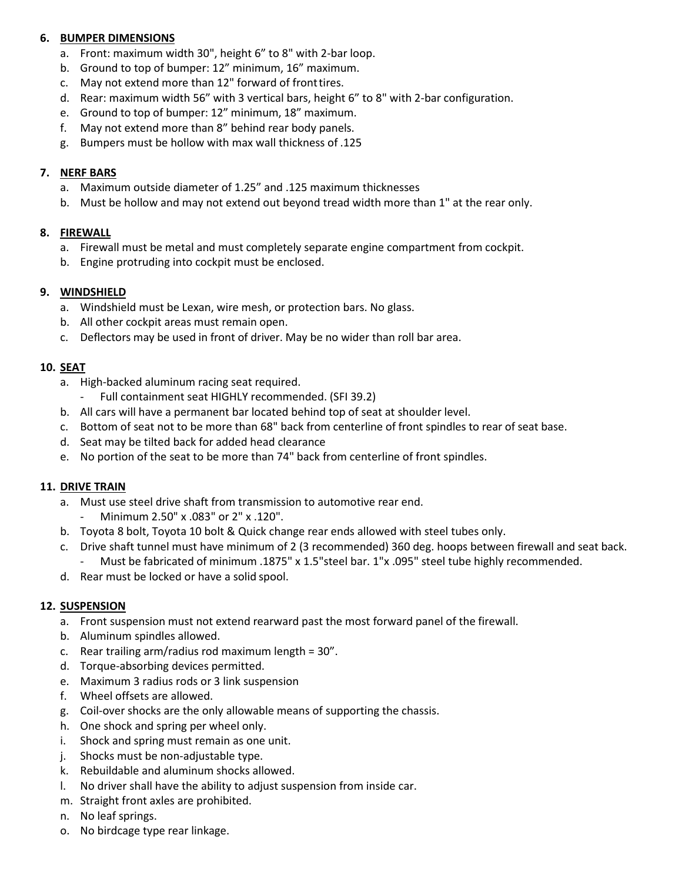# **6. BUMPER DIMENSIONS**

- a. Front: maximum width 30", height 6" to 8" with 2-bar loop.
- b. Ground to top of bumper: 12" minimum, 16" maximum.
- c. May not extend more than 12" forward of front tires.
- d. Rear: maximum width 56" with 3 vertical bars, height 6" to 8" with 2-bar configuration.
- e. Ground to top of bumper: 12" minimum, 18" maximum.
- f. May not extend more than 8" behind rear body panels.
- g. Bumpers must be hollow with max wall thickness of .125

## **7. NERF BARS**

- a. Maximum outside diameter of 1.25" and .125 maximum thicknesses
- b. Must be hollow and may not extend out beyond tread width more than 1" at the rear only.

## **8. FIREWALL**

- a. Firewall must be metal and must completely separate engine compartment from cockpit.
- b. Engine protruding into cockpit must be enclosed.

## **9. WINDSHIELD**

- a. Windshield must be Lexan, wire mesh, or protection bars. No glass.
- b. All other cockpit areas must remain open.
- c. Deflectors may be used in front of driver. May be no wider than roll bar area.

## **10. SEAT**

- a. High-backed aluminum racing seat required.
	- Full containment seat HIGHLY recommended. (SFI 39.2)
- b. All cars will have a permanent bar located behind top of seat at shoulder level.
- c. Bottom of seat not to be more than 68" back from centerline of front spindles to rear of seat base.
- d. Seat may be tilted back for added head clearance
- e. No portion of the seat to be more than 74" back from centerline of front spindles.

#### **11. DRIVE TRAIN**

- a. Must use steel drive shaft from transmission to automotive rear end.
	- Minimum 2.50" x .083" or 2" x .120".
- b. Toyota 8 bolt, Toyota 10 bolt & Quick change rear ends allowed with steel tubes only.
- c. Drive shaft tunnel must have minimum of 2 (3 recommended) 360 deg. hoops between firewall and seat back.
	- Must be fabricated of minimum .1875" x 1.5"steel bar. 1"x .095" steel tube highly recommended.
- d. Rear must be locked or have a solid spool.

# **12. SUSPENSION**

- a. Front suspension must not extend rearward past the most forward panel of the firewall.
- b. Aluminum spindles allowed.
- c. Rear trailing arm/radius rod maximum length = 30".
- d. Torque-absorbing devices permitted.
- e. Maximum 3 radius rods or 3 link suspension
- f. Wheel offsets are allowed.
- g. Coil-over shocks are the only allowable means of supporting the chassis.
- h. One shock and spring per wheel only.
- i. Shock and spring must remain as one unit.
- j. Shocks must be non-adjustable type.
- k. Rebuildable and aluminum shocks allowed.
- l. No driver shall have the ability to adjust suspension from inside car.
- m. Straight front axles are prohibited.
- n. No leaf springs.
- o. No birdcage type rear linkage.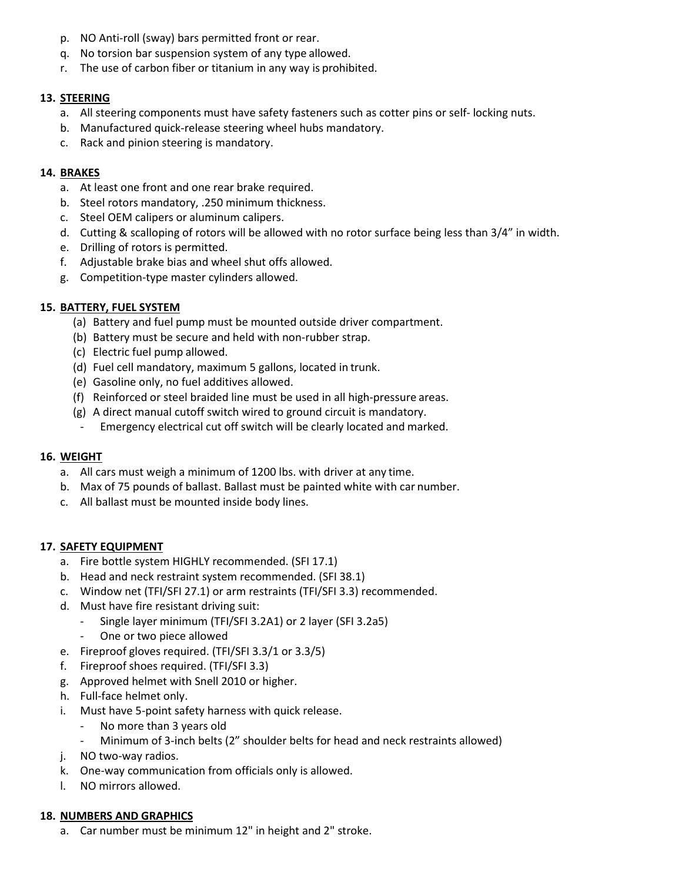- p. NO Anti-roll (sway) bars permitted front or rear.
- q. No torsion bar suspension system of any type allowed.
- r. The use of carbon fiber or titanium in any way is prohibited.

## **13. STEERING**

- a. All steering components must have safety fasteners such as cotter pins or self- locking nuts.
- b. Manufactured quick-release steering wheel hubs mandatory.
- c. Rack and pinion steering is mandatory.

## **14. BRAKES**

- a. At least one front and one rear brake required.
- b. Steel rotors mandatory, .250 minimum thickness.
- c. Steel OEM calipers or aluminum calipers.
- d. Cutting & scalloping of rotors will be allowed with no rotor surface being less than 3/4" in width.
- e. Drilling of rotors is permitted.
- f. Adjustable brake bias and wheel shut offs allowed.
- g. Competition-type master cylinders allowed.

## **15. BATTERY, FUEL SYSTEM**

- (a) Battery and fuel pump must be mounted outside driver compartment.
- (b) Battery must be secure and held with non-rubber strap.
- (c) Electric fuel pump allowed.
- (d) Fuel cell mandatory, maximum 5 gallons, located in trunk.
- (e) Gasoline only, no fuel additives allowed.
- (f) Reinforced or steel braided line must be used in all high-pressure areas.
- (g) A direct manual cutoff switch wired to ground circuit is mandatory.
- Emergency electrical cut off switch will be clearly located and marked.

#### **16. WEIGHT**

- a. All cars must weigh a minimum of 1200 lbs. with driver at any time.
- b. Max of 75 pounds of ballast. Ballast must be painted white with car number.
- c. All ballast must be mounted inside body lines.

# **17. SAFETY EQUIPMENT**

- a. Fire bottle system HIGHLY recommended. (SFI 17.1)
- b. Head and neck restraint system recommended. (SFI 38.1)
- c. Window net (TFI/SFI 27.1) or arm restraints (TFI/SFI 3.3) recommended.
- d. Must have fire resistant driving suit:
	- Single layer minimum (TFI/SFI 3.2A1) or 2 layer (SFI 3.2a5)
	- One or two piece allowed
- e. Fireproof gloves required. (TFI/SFI 3.3/1 or 3.3/5)
- f. Fireproof shoes required. (TFI/SFI 3.3)
- g. Approved helmet with Snell 2010 or higher.
- h. Full-face helmet only.
- i. Must have 5-point safety harness with quick release.
	- No more than 3 years old
	- Minimum of 3-inch belts (2" shoulder belts for head and neck restraints allowed)
- j. NO two-way radios.
- k. One-way communication from officials only is allowed.
- l. NO mirrors allowed.

#### **18. NUMBERS AND GRAPHICS**

a. Car number must be minimum 12" in height and 2" stroke.